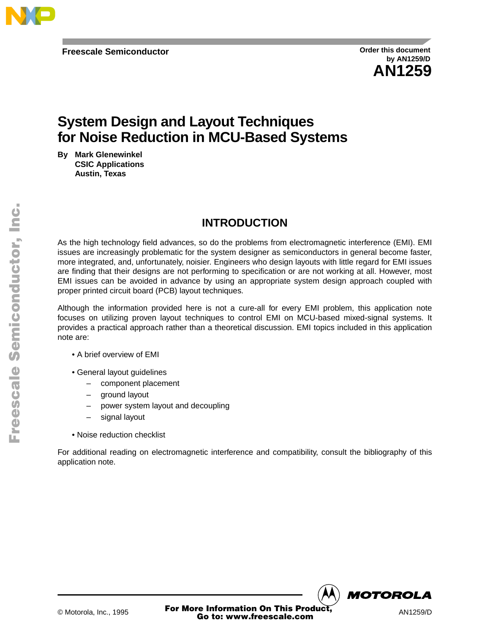



## **System Design and Layout Techniques for Noise Reduction in MCU-Based Systems**

**By Mark Glenewinkel CSIC Applications Austin, Texas**

## **INTRODUCTION**

As the high technology field advances, so do the problems from electromagnetic interference (EMI). EMI issues are increasingly problematic for the system designer as semiconductors in general become faster, more integrated, and, unfortunately, noisier. Engineers who design layouts with little regard for EMI issues are finding that their designs are not performing to specification or are not working at all. However, most EMI issues can be avoided in advance by using an appropriate system design approach coupled with proper printed circuit board (PCB) layout techniques.

Although the information provided here is not a cure-all for every EMI problem, this application note focuses on utilizing proven layout techniques to control EMI on MCU-based mixed-signal systems. It provides a practical approach rather than a theoretical discussion. EMI topics included in this application note are:

- A brief overview of EMI
- General layout guidelines
	- component placement
	- ground layout
	- power system layout and decoupling
	- signal layout
- Noise reduction checklist

For additional reading on electromagnetic interference and compatibility, consult the bibliography of this application note.



o

r, I

n

.<br>ق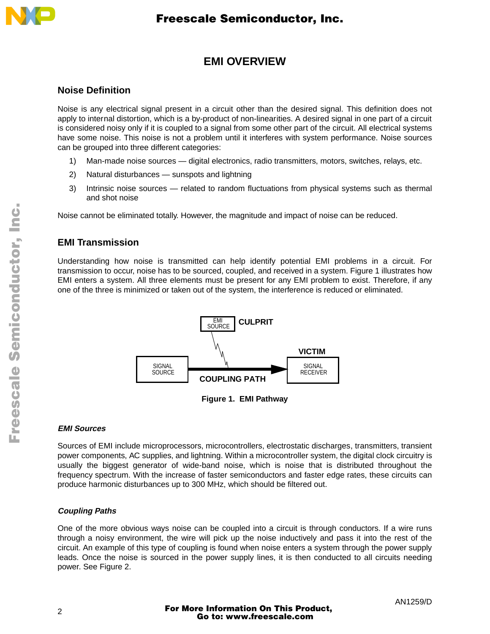

### **EMI OVERVIEW**

### **Noise Definition**

Noise is any electrical signal present in a circuit other than the desired signal. This definition does not apply to internal distortion, which is a by-product of non-linearities. A desired signal in one part of a circuit is considered noisy only if it is coupled to a signal from some other part of the circuit. All electrical systems have some noise. This noise is not a problem until it interferes with system performance. Noise sources can be grouped into three different categories:

- 1) Man-made noise sources digital electronics, radio transmitters, motors, switches, relays, etc.
- 2) Natural disturbances sunspots and lightning
- 3) Intrinsic noise sources related to random fluctuations from physical systems such as thermal and shot noise

Noise cannot be eliminated totally. However, the magnitude and impact of noise can be reduced.

### **EMI Transmission**

Understanding how noise is transmitted can help identify potential EMI problems in a circuit. For transmission to occur, noise has to be sourced, coupled, and received in a system. Figure 1 illustrates how EMI enters a system. All three elements must be present for any EMI problem to exist. Therefore, if any one of the three is minimized or taken out of the system, the interference is reduced or eliminated.



**Figure 1. EMI Pathway**

#### **EMI Sources**

Sources of EMI include microprocessors, microcontrollers, electrostatic discharges, transmitters, transient power components, AC supplies, and lightning. Within a microcontroller system, the digital clock circuitry is usually the biggest generator of wide-band noise, which is noise that is distributed throughout the frequency spectrum. With the increase of faster semiconductors and faster edge rates, these circuits can produce harmonic disturbances up to 300 MHz, which should be filtered out.

#### **Coupling Paths**

One of the more obvious ways noise can be coupled into a circuit is through conductors. If a wire runs through a noisy environment, the wire will pick up the noise inductively and pass it into the rest of the circuit. An example of this type of coupling is found when noise enters a system through the power supply leads. Once the noise is sourced in the power supply lines, it is then conducted to all circuits needing power. See Figure 2.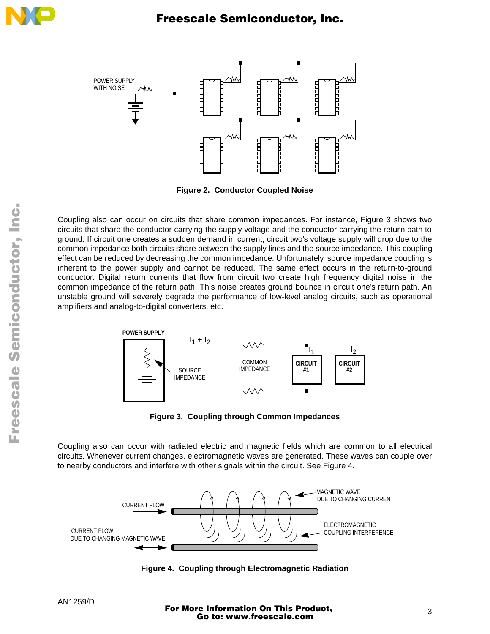



**Figure 2. Conductor Coupled Noise**

Coupling also can occur on circuits that share common impedances. For instance, Figure 3 shows two circuits that share the conductor carrying the supply voltage and the conductor carrying the return path to ground. If circuit one creates a sudden demand in current, circuit two's voltage supply will drop due to the common impedance both circuits share between the supply lines and the source impedance. This coupling effect can be reduced by decreasing the common impedance. Unfortunately, source impedance coupling is inherent to the power supply and cannot be reduced. The same effect occurs in the return-to-ground conductor. Digital return currents that flow from circuit two create high frequency digital noise in the common impedance of the return path. This noise creates ground bounce in circuit one's return path. An unstable ground will severely degrade the performance of low-level analog circuits, such as operational amplifiers and analog-to-digital converters, etc.



**Figure 3. Coupling through Common Impedances**

Coupling also can occur with radiated electric and magnetic fields which are common to all electrical circuits. Whenever current changes, electromagnetic waves are generated. These waves can couple over to nearby conductors and interfere with other signals within the circuit. See Figure 4.



**Figure 4. Coupling through Electromagnetic Radiation**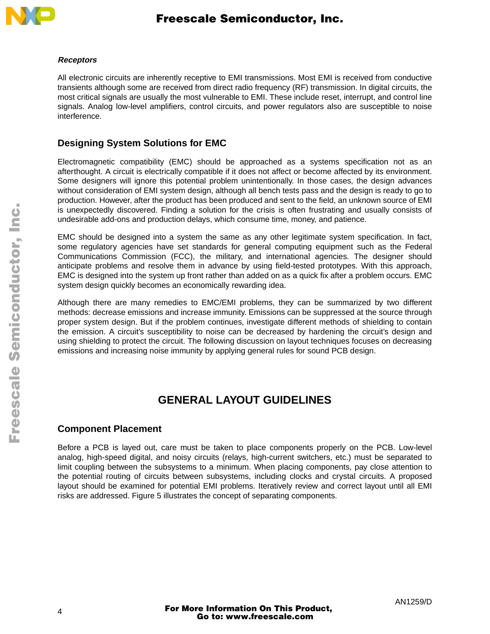

#### **Receptors**

All electronic circuits are inherently receptive to EMI transmissions. Most EMI is received from conductive transients although some are received from direct radio frequency (RF) transmission. In digital circuits, the most critical signals are usually the most vulnerable to EMI. These include reset, interrupt, and control line signals. Analog low-level amplifiers, control circuits, and power regulators also are susceptible to noise interference.

### **Designing System Solutions for EMC**

Electromagnetic compatibility (EMC) should be approached as a systems specification not as an afterthought. A circuit is electrically compatible if it does not affect or become affected by its environment. Some designers will ignore this potential problem unintentionally. In those cases, the design advances without consideration of EMI system design, although all bench tests pass and the design is ready to go to production. However, after the product has been produced and sent to the field, an unknown source of EMI is unexpectedly discovered. Finding a solution for the crisis is often frustrating and usually consists of undesirable add-ons and production delays, which consume time, money, and patience.

EMC should be designed into a system the same as any other legitimate system specification. In fact, some regulatory agencies have set standards for general computing equipment such as the Federal Communications Commission (FCC), the military, and international agencies. The designer should anticipate problems and resolve them in advance by using field-tested prototypes. With this approach, EMC is designed into the system up front rather than added on as a quick fix after a problem occurs. EMC system design quickly becomes an economically rewarding idea.

Although there are many remedies to EMC/EMI problems, they can be summarized by two different methods: decrease emissions and increase immunity. Emissions can be suppressed at the source through proper system design. But if the problem continues, investigate different methods of shielding to contain the emission. A circuit's susceptibility to noise can be decreased by hardening the circuit's design and using shielding to protect the circuit. The following discussion on layout techniques focuses on decreasing emissions and increasing noise immunity by applying general rules for sound PCB design.

## **GENERAL LAYOUT GUIDELINES**

#### **Component Placement**

Before a PCB is layed out, care must be taken to place components properly on the PCB. Low-level analog, high-speed digital, and noisy circuits (relays, high-current switchers, etc.) must be separated to limit coupling between the subsystems to a minimum. When placing components, pay close attention to the potential routing of circuits between subsystems, including clocks and crystal circuits. A proposed layout should be examined for potential EMI problems. Iteratively review and correct layout until all EMI risks are addressed. Figure 5 illustrates the concept of separating components.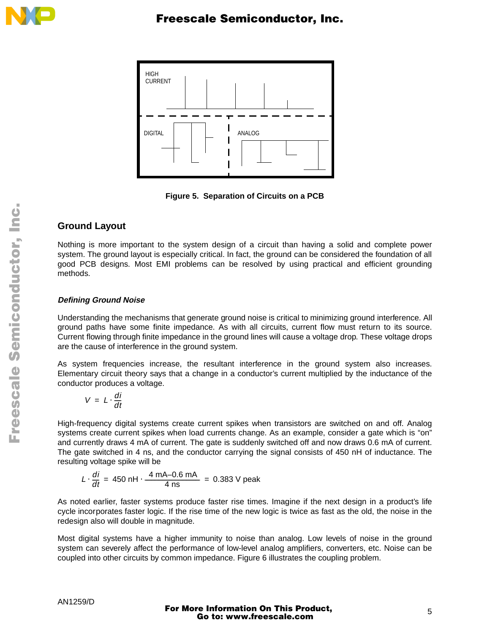



**Figure 5. Separation of Circuits on a PCB**

### **Ground Layout**

Nothing is more important to the system design of a circuit than having a solid and complete power system. The ground layout is especially critical. In fact, the ground can be considered the foundation of all good PCB designs. Most EMI problems can be resolved by using practical and efficient grounding methods.

#### **Defining Ground Noise**

Understanding the mechanisms that generate ground noise is critical to minimizing ground interference. All ground paths have some finite impedance. As with all circuits, current flow must return to its source. Current flowing through finite impedance in the ground lines will cause a voltage drop. These voltage drops are the cause of interference in the ground system.

As system frequencies increase, the resultant interference in the ground system also increases. Elementary circuit theory says that a change in a conductor's current multiplied by the inductance of the conductor produces a voltage.

$$
V = L \cdot \frac{di}{dt}
$$

High-frequency digital systems create current spikes when transistors are switched on and off. Analog systems create current spikes when load currents change. As an example, consider a gate which is "on" and currently draws 4 mA of current. The gate is suddenly switched off and now draws 0.6 mA of current. The gate switched in 4 ns, and the conductor carrying the signal consists of 450 nH of inductance. The resulting voltage spike will be

$$
L \cdot \frac{di}{dt} = 450 \text{ nH} \cdot \frac{\langle 4 \text{ mA} - 0.6 \text{ mA} \rangle}{4 \text{ ns}} = 0.383 \text{ V peak}
$$

As noted earlier, faster systems produce faster rise times. Imagine if the next design in a product's life cycle incorporates faster logic. If the rise time of the new logic is twice as fast as the old, the noise in the redesign also will double in magnitude.

Most digital systems have a higher immunity to noise than analog. Low levels of noise in the ground system can severely affect the performance of low-level analog amplifiers, converters, etc. Noise can be coupled into other circuits by common impedance. Figure 6 illustrates the coupling problem.

# For More Information On This Product, Go to: www.freescale.com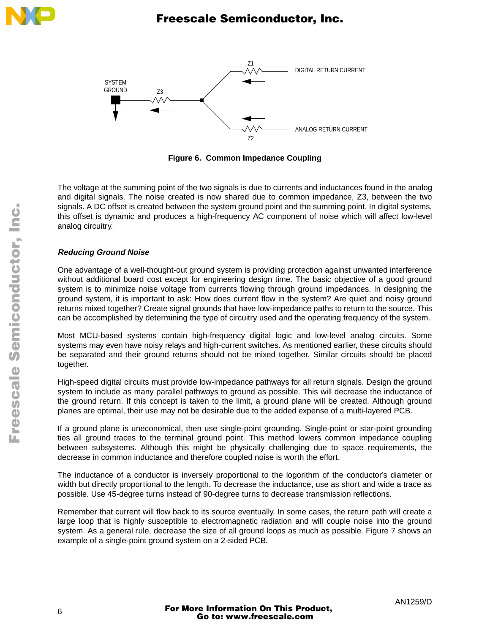

## Freescale Semiconductor, Inc.



**Figure 6. Common Impedance Coupling**

The voltage at the summing point of the two signals is due to currents and inductances found in the analog and digital signals. The noise created is now shared due to common impedance, Z3, between the two signals. A DC offset is created between the system ground point and the summing point. In digital systems, this offset is dynamic and produces a high-frequency AC component of noise which will affect low-level analog circuitry.

#### **Reducing Ground Noise**

One advantage of a well-thought-out ground system is providing protection against unwanted interference without additional board cost except for engineering design time. The basic objective of a good ground system is to minimize noise voltage from currents flowing through ground impedances. In designing the ground system, it is important to ask: How does current flow in the system? Are quiet and noisy ground returns mixed together? Create signal grounds that have low-impedance paths to return to the source. This can be accomplished by determining the type of circuitry used and the operating frequency of the system.

Most MCU-based systems contain high-frequency digital logic and low-level analog circuits. Some systems may even have noisy relays and high-current switches. As mentioned earlier, these circuits should be separated and their ground returns should not be mixed together. Similar circuits should be placed together.

High-speed digital circuits must provide low-impedance pathways for all return signals. Design the ground system to include as many parallel pathways to ground as possible. This will decrease the inductance of the ground return. If this concept is taken to the limit, a ground plane will be created. Although ground planes are optimal, their use may not be desirable due to the added expense of a multi-layered PCB.

If a ground plane is uneconomical, then use single-point grounding. Single-point or star-point grounding ties all ground traces to the terminal ground point. This method lowers common impedance coupling between subsystems. Although this might be physically challenging due to space requirements, the decrease in common inductance and therefore coupled noise is worth the effort.

The inductance of a conductor is inversely proportional to the logorithm of the conductor's diameter or width but directly proportional to the length. To decrease the inductance, use as short and wide a trace as possible. Use 45-degree turns instead of 90-degree turns to decrease transmission reflections.

Remember that current will flow back to its source eventually. In some cases, the return path will create a large loop that is highly susceptible to electromagnetic radiation and will couple noise into the ground system. As a general rule, decrease the size of all ground loops as much as possible. Figure 7 shows an example of a single-point ground system on a 2-sided PCB.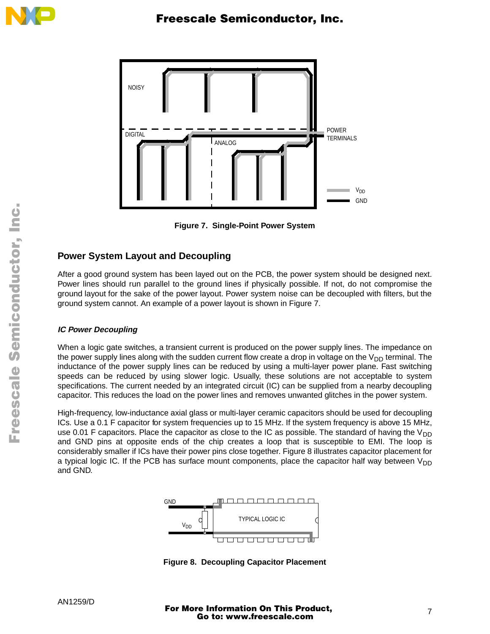



**Figure 7. Single-Point Power System**

### **Power System Layout and Decoupling**

After a good ground system has been layed out on the PCB, the power system should be designed next. Power lines should run parallel to the ground lines if physically possible. If not, do not compromise the ground layout for the sake of the power layout. Power system noise can be decoupled with filters, but the ground system cannot. An example of a power layout is shown in Figure 7.

#### **IC Power Decoupling**

When a logic gate switches, a transient current is produced on the power supply lines. The impedance on the power supply lines along with the sudden current flow create a drop in voltage on the  $V_{DD}$  terminal. The inductance of the power supply lines can be reduced by using a multi-layer power plane. Fast switching speeds can be reduced by using slower logic. Usually, these solutions are not acceptable to system specifications. The current needed by an integrated circuit (IC) can be supplied from a nearby decoupling capacitor. This reduces the load on the power lines and removes unwanted glitches in the power system.

High-frequency, low-inductance axial glass or multi-layer ceramic capacitors should be used for decoupling ICs. Use a 0.1 µF capacitor or system frequencies up to 15 MHz. If the system frequency is above 15 MHz, use 0.01 µF capacitors. Place the capacitor as close to the IC as possible. The standard of having the V<sub>DD</sub> and GND pins at opposite ends of the chip creates a loop that is susceptible to EMI. The loop is considerably smaller if ICs have their power pins close together. Figure 8 illustrates capacitor placement for a typical logic IC. If the PCB has surface mount components, place the capacitor half way between  $V_{DD}$ and GND.



**Figure 8. Decoupling Capacitor Placement**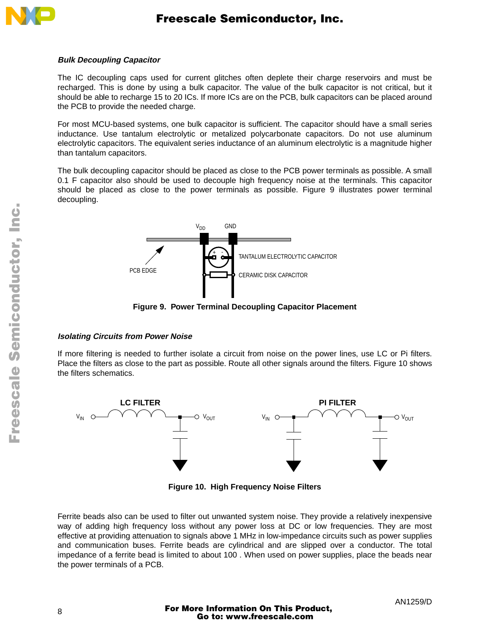

#### **Bulk Decoupling Capacitor**

The IC decoupling caps used for current glitches often deplete their charge reservoirs and must be recharged. This is done by using a bulk capacitor. The value of the bulk capacitor is not critical, but it should be able to recharge 15 to 20 ICs. If more ICs are on the PCB, bulk capacitors can be placed around the PCB to provide the needed charge.

For most MCU-based systems, one bulk capacitor is sufficient. The capacitor should have a small series inductance. Use tantalum electrolytic or metalized polycarbonate capacitors. Do not use aluminum electrolytic capacitors. The equivalent series inductance of an aluminum electrolytic is a magnitude higher than tantalum capacitors.

The bulk decoupling capacitor should be placed as close to the PCB power terminals as possible. A small 0.1 µF capacitor also should be used to decouple high frequency noise at the terminals. This capacitor should be placed as close to the power terminals as possible. Figure 9 illustrates power terminal decoupling.



**Figure 9. Power Terminal Decoupling Capacitor Placement**

#### **Isolating Circuits from Power Noise**

If more filtering is needed to further isolate a circuit from noise on the power lines, use LC or Pi filters. Place the filters as close to the part as possible. Route all other signals around the filters. Figure 10 shows the filters schematics.



**Figure 10. High Frequency Noise Filters**

Ferrite beads also can be used to filter out unwanted system noise. They provide a relatively inexpensive way of adding high frequency loss without any power loss at DC or low frequencies. They are most effective at providing attenuation to signals above 1 MHz in low-impedance circuits such as power supplies and communication buses. Ferrite beads are cylindrical and are slipped over a conductor. The total impedance of a ferrite bead is limited to about 100 . When used on power supplies, place the beads near the power terminals of a PCB.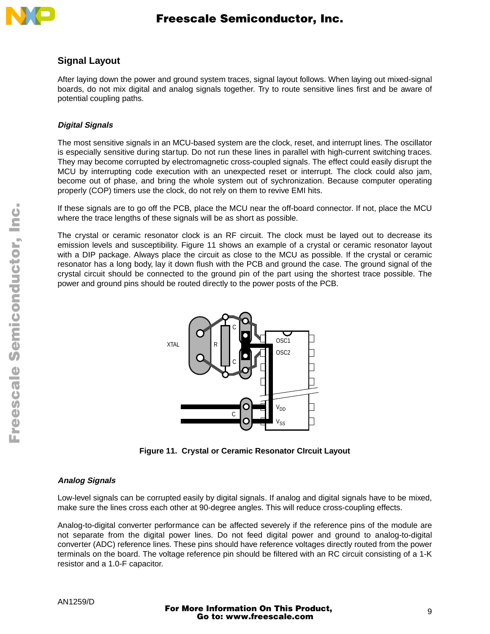

### **Signal Layout**

After laying down the power and ground system traces, signal layout follows. When laying out mixed-signal boards, do not mix digital and analog signals together. Try to route sensitive lines first and be aware of potential coupling paths.

#### **Digital Signals**

The most sensitive signals in an MCU-based system are the clock, reset, and interrupt lines. The oscillator is especially sensitive during startup. Do not run these lines in parallel with high-current switching traces. They may become corrupted by electromagnetic cross-coupled signals. The effect could easily disrupt the MCU by interrupting code execution with an unexpected reset or interrupt. The clock could also jam, become out of phase, and bring the whole system out of sychronization. Because computer operating properly (COP) timers use the clock, do not rely on them to revive EMI hits.

If these signals are to go off the PCB, place the MCU near the off-board connector. If not, place the MCU where the trace lengths of these signals will be as short as possible.

The crystal or ceramic resonator clock is an RF circuit. The clock must be layed out to decrease its emission levels and susceptibility. Figure 11 shows an example of a crystal or ceramic resonator layout with a DIP package. Always place the circuit as close to the MCU as possible. If the crystal or ceramic resonator has a long body, lay it down flush with the PCB and ground the case. The ground signal of the crystal circuit should be connected to the ground pin of the part using the shortest trace possible. The power and ground pins should be routed directly to the power posts of the PCB.



**Figure 11. Crystal or Ceramic Resonator CIrcuit Layout**

#### **Analog Signals**

Low-level signals can be corrupted easily by digital signals. If analog and digital signals have to be mixed, make sure the lines cross each other at 90-degree angles. This will reduce cross-coupling effects.

Analog-to-digital converter performance can be affected severely if the reference pins of the module are not separate from the digital power lines. Do not feed digital power and ground to analog-to-digital converter (ADC) reference lines. These pins should have reference voltages directly routed from the power terminals on the board. The voltage reference pin should be filtered with an RC circuit consisting of a 1-K resistor and a 1.0-µF capacitor

# For More Information On This Product, Go to: www.freescale.com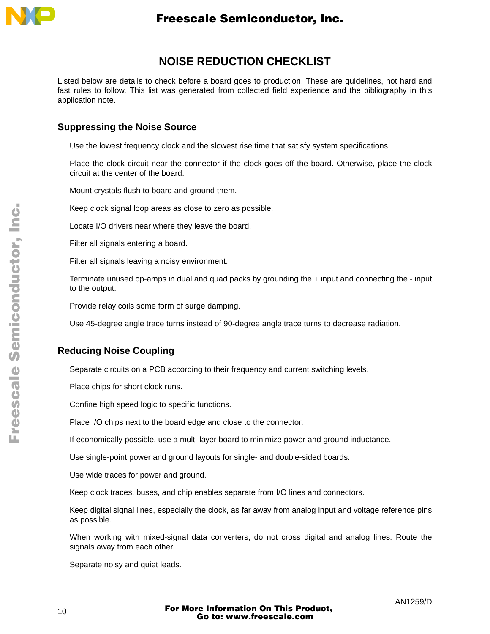

### **NOISE REDUCTION CHECKLIST**

Listed below are details to check before a board goes to production. These are guidelines, not hard and fast rules to follow. This list was generated from collected field experience and the bibliography in this application note.

### **Suppressing the Noise Source**

Use the lowest frequency clock and the slowest rise time that satisfy system specifications.

Place the clock circuit near the connector if the clock goes off the board. Otherwise, place the clock circuit at the center of the board.

Mount crystals flush to board and ground them.

Keep clock signal loop areas as close to zero as possible.

Locate I/O drivers near where they leave the board.

Filter all signals entering a board.

Filter all signals leaving a noisy environment.

Terminate unused op-amps in dual and quad packs by grounding the + input and connecting the - input to the output.

Provide relay coils some form of surge damping.

Use 45-degree angle trace turns instead of 90-degree angle trace turns to decrease radiation.

### **Reducing Noise Coupling**

Separate circuits on a PCB according to their frequency and current switching levels.

Place chips for short clock runs.

Confine high speed logic to specific functions.

Place I/O chips next to the board edge and close to the connector.

If economically possible, use a multi-layer board to minimize power and ground inductance.

Use single-point power and ground layouts for single- and double-sided boards.

Use wide traces for power and ground.

Keep clock traces, buses, and chip enables separate from I/O lines and connectors.

Keep digital signal lines, especially the clock, as far away from analog input and voltage reference pins as possible.

When working with mixed-signal data converters, do not cross digital and analog lines. Route the signals away from each other.

Separate noisy and quiet leads.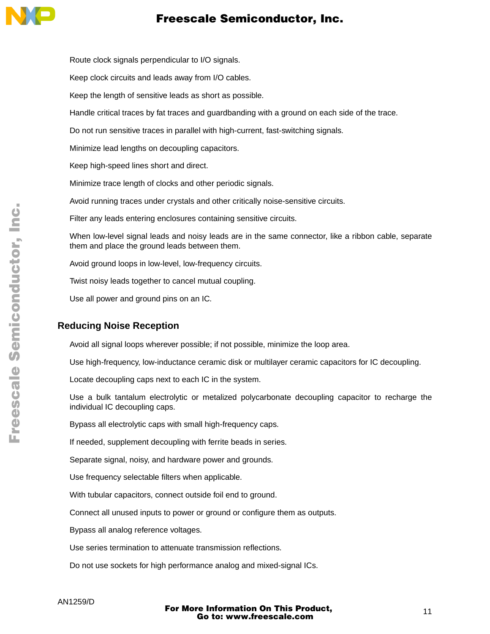

## Freescale Semiconductor, Inc.

Route clock signals perpendicular to I/O signals. Keep clock circuits and leads away from I/O cables. Keep the length of sensitive leads as short as possible. Handle critical traces by fat traces and guardbanding with a ground on each side of the trace. Do not run sensitive traces in parallel with high-current, fast-switching signals. Minimize lead lengths on decoupling capacitors. Keep high-speed lines short and direct. Minimize trace length of clocks and other periodic signals. Avoid running traces under crystals and other critically noise-sensitive circuits. Filter any leads entering enclosures containing sensitive circuits.

When low-level signal leads and noisy leads are in the same connector, like a ribbon cable, separate them and place the ground leads between them.

Avoid ground loops in low-level, low-frequency circuits.

Twist noisy leads together to cancel mutual coupling.

Use all power and ground pins on an IC.

### **Reducing Noise Reception**

Avoid all signal loops wherever possible; if not possible, minimize the loop area.

Use high-frequency, low-inductance ceramic disk or multilayer ceramic capacitors for IC decoupling.

Locate decoupling caps next to each IC in the system.

Use a bulk tantalum electrolytic or metalized polycarbonate decoupling capacitor to recharge the individual IC decoupling caps.

Bypass all electrolytic caps with small high-frequency caps.

If needed, supplement decoupling with ferrite beads in series.

Separate signal, noisy, and hardware power and grounds.

Use frequency selectable filters when applicable.

With tubular capacitors, connect outside foil end to ground.

Connect all unused inputs to power or ground or configure them as outputs.

Bypass all analog reference voltages.

Use series termination to attenuate transmission reflections.

Do not use sockets for high performance analog and mixed-signal ICs.

# For More Information On This Product, Go to: www.freescale.com